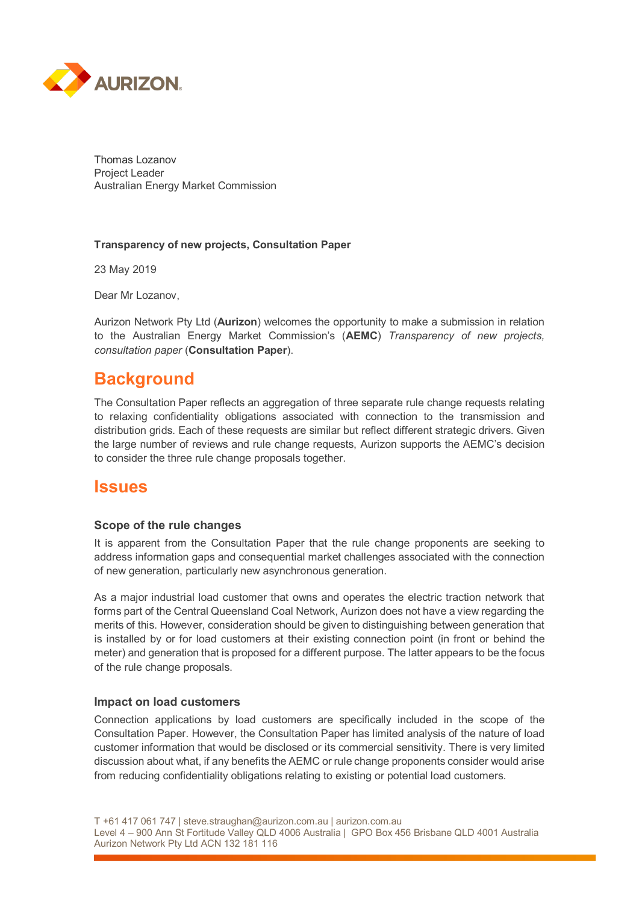

Thomas Lozanov Project Leader Australian Energy Market Commission

#### **Transparency of new projects, Consultation Paper**

23 May 2019

Dear Mr Lozanov,

Aurizon Network Pty Ltd (**Aurizon**) welcomes the opportunity to make a submission in relation to the Australian Energy Market Commission's (**AEMC**) *Transparency of new projects, consultation paper* (**Consultation Paper**).

## **Background**

The Consultation Paper reflects an aggregation of three separate rule change requests relating to relaxing confidentiality obligations associated with connection to the transmission and distribution grids. Each of these requests are similar but reflect different strategic drivers. Given the large number of reviews and rule change requests, Aurizon supports the AEMC's decision to consider the three rule change proposals together.

## **Issues**

### **Scope of the rule changes**

It is apparent from the Consultation Paper that the rule change proponents are seeking to address information gaps and consequential market challenges associated with the connection of new generation, particularly new asynchronous generation.

As a major industrial load customer that owns and operates the electric traction network that forms part of the Central Queensland Coal Network, Aurizon does not have a view regarding the merits of this. However, consideration should be given to distinguishing between generation that is installed by or for load customers at their existing connection point (in front or behind the meter) and generation that is proposed for a different purpose. The latter appears to be the focus of the rule change proposals.

#### **Impact on load customers**

Connection applications by load customers are specifically included in the scope of the Consultation Paper. However, the Consultation Paper has limited analysis of the nature of load customer information that would be disclosed or its commercial sensitivity. There is very limited discussion about what, if any benefits the AEMC or rule change proponents consider would arise from reducing confidentiality obligations relating to existing or potential load customers.

T +61 417 061 747 | steve.straughan@aurizon.com.au | aurizon.com.au

Level 4 – 900 Ann St Fortitude Valley QLD 4006 Australia | GPO Box 456 Brisbane QLD 4001 Australia Aurizon Network Pty Ltd ACN 132 181 116